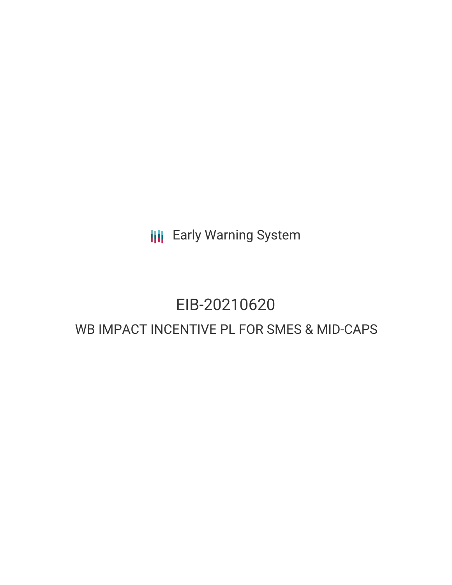**III** Early Warning System

# EIB-20210620 WB IMPACT INCENTIVE PL FOR SMES & MID-CAPS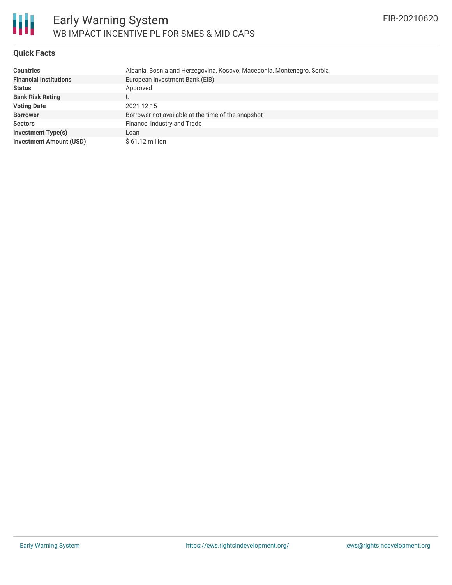

### **Quick Facts**

| <b>Countries</b>               | Albania, Bosnia and Herzegovina, Kosovo, Macedonia, Montenegro, Serbia |
|--------------------------------|------------------------------------------------------------------------|
| <b>Financial Institutions</b>  | European Investment Bank (EIB)                                         |
| <b>Status</b>                  | Approved                                                               |
| <b>Bank Risk Rating</b>        | U                                                                      |
| <b>Voting Date</b>             | 2021-12-15                                                             |
| <b>Borrower</b>                | Borrower not available at the time of the snapshot                     |
| <b>Sectors</b>                 | Finance, Industry and Trade                                            |
| <b>Investment Type(s)</b>      | Loan                                                                   |
| <b>Investment Amount (USD)</b> | $$61.12$ million                                                       |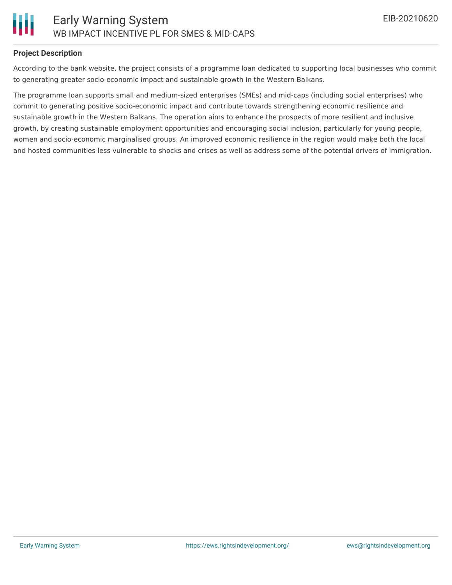## **Project Description**

According to the bank website, the project consists of a programme loan dedicated to supporting local businesses who commit to generating greater socio-economic impact and sustainable growth in the Western Balkans.

The programme loan supports small and medium-sized enterprises (SMEs) and mid-caps (including social enterprises) who commit to generating positive socio-economic impact and contribute towards strengthening economic resilience and sustainable growth in the Western Balkans. The operation aims to enhance the prospects of more resilient and inclusive growth, by creating sustainable employment opportunities and encouraging social inclusion, particularly for young people, women and socio-economic marginalised groups. An improved economic resilience in the region would make both the local and hosted communities less vulnerable to shocks and crises as well as address some of the potential drivers of immigration.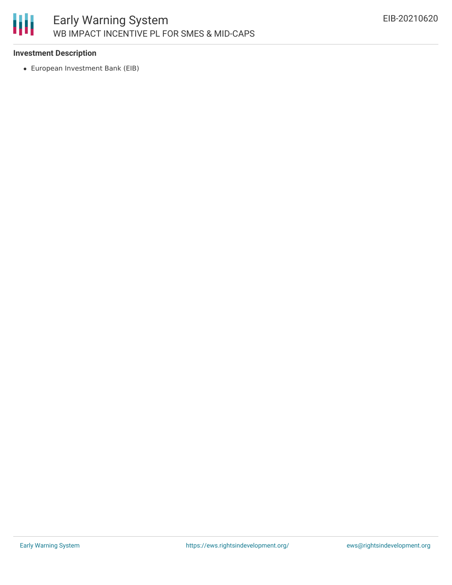

## **Investment Description**

European Investment Bank (EIB)